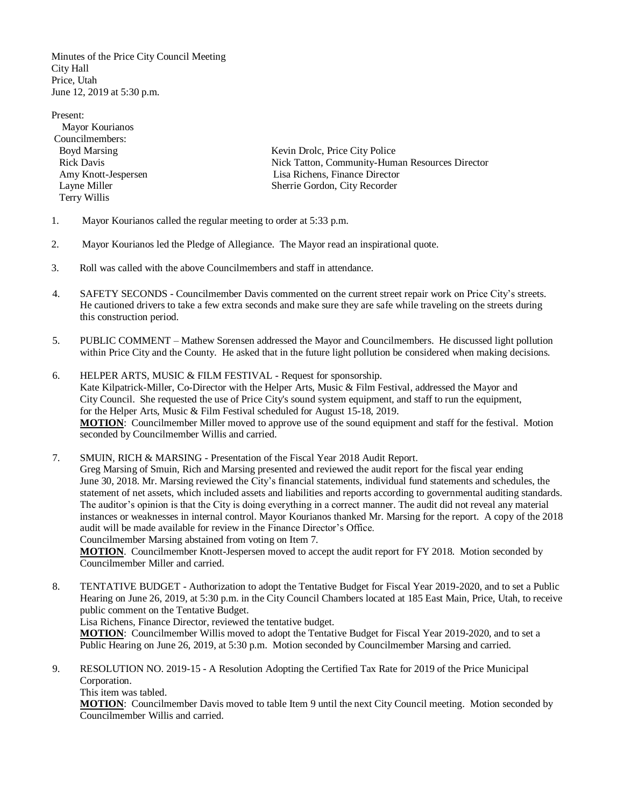Minutes of the Price City Council Meeting City Hall Price, Utah June 12, 2019 at 5:30 p.m.

Present: Mayor Kourianos Councilmembers: Terry Willis

Boyd Marsing Kevin Drolc, Price City Police Rick Davis Nick Tatton, Community-Human Resources Director Amy Knott-Jespersen Lisa Richens, Finance Director Layne Miller Sherrie Gordon, City Recorder

- 1. Mayor Kourianos called the regular meeting to order at 5:33 p.m.
- 2. Mayor Kourianos led the Pledge of Allegiance. The Mayor read an inspirational quote.
- 3. Roll was called with the above Councilmembers and staff in attendance.
- 4. SAFETY SECONDS Councilmember Davis commented on the current street repair work on Price City's streets. He cautioned drivers to take a few extra seconds and make sure they are safe while traveling on the streets during this construction period.
- 5. PUBLIC COMMENT Mathew Sorensen addressed the Mayor and Councilmembers. He discussed light pollution within Price City and the County. He asked that in the future light pollution be considered when making decisions.
- 6. HELPER ARTS, MUSIC & FILM FESTIVAL Request for sponsorship. Kate Kilpatrick-Miller, Co-Director with the Helper Arts, Music & Film Festival, addressed the Mayor and City Council. She requested the use of Price City's sound system equipment, and staff to run the equipment, for the Helper Arts, Music & Film Festival scheduled for August 15-18, 2019. **MOTION**: Councilmember Miller moved to approve use of the sound equipment and staff for the festival. Motion seconded by Councilmember Willis and carried.

7. SMUIN, RICH & MARSING - Presentation of the Fiscal Year 2018 Audit Report. Greg Marsing of Smuin, Rich and Marsing presented and reviewed the audit report for the fiscal year ending June 30, 2018. Mr. Marsing reviewed the City's financial statements, individual fund statements and schedules, the statement of net assets, which included assets and liabilities and reports according to governmental auditing standards. The auditor's opinion is that the City is doing everything in a correct manner. The audit did not reveal any material instances or weaknesses in internal control. Mayor Kourianos thanked Mr. Marsing for the report. A copy of the 2018 audit will be made available for review in the Finance Director's Office.

Councilmember Marsing abstained from voting on Item 7.

**MOTION**. Councilmember Knott-Jespersen moved to accept the audit report for FY 2018. Motion seconded by Councilmember Miller and carried.

8. TENTATIVE BUDGET - Authorization to adopt the Tentative Budget for Fiscal Year 2019-2020, and to set a Public Hearing on June 26, 2019, at 5:30 p.m. in the City Council Chambers located at 185 East Main, Price, Utah, to receive public comment on the Tentative Budget.

Lisa Richens, Finance Director, reviewed the tentative budget.

**MOTION**: Councilmember Willis moved to adopt the Tentative Budget for Fiscal Year 2019-2020, and to set a Public Hearing on June 26, 2019, at 5:30 p.m. Motion seconded by Councilmember Marsing and carried.

9. RESOLUTION NO. 2019-15 - A Resolution Adopting the Certified Tax Rate for 2019 of the Price Municipal Corporation.

This item was tabled.

**MOTION**: Councilmember Davis moved to table Item 9 until the next City Council meeting. Motion seconded by Councilmember Willis and carried.